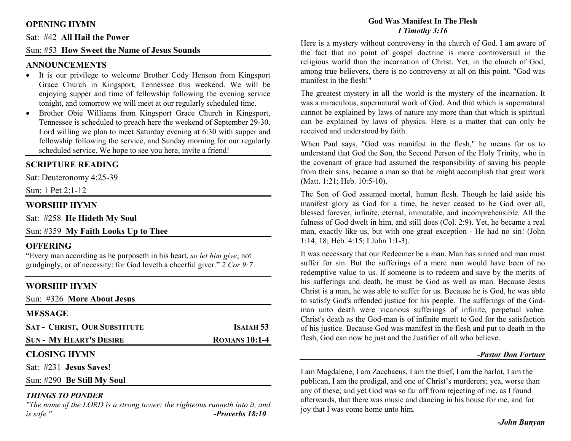# **OPENING HYMN**

#### Sat: #42 **All Hail the Power**

# Sun: #53 **How Sweet the Name of Jesus Sounds**

## **ANNOUNCEMENTS**

- It is our privilege to welcome Brother Cody Henson from Kingsport Grace Church in Kingsport, Tennessee this weekend. We will be enjoying supper and time of fellowship following the evening service tonight, and tomorrow we will meet at our regularly scheduled time.
- Brother Obie Williams from Kingsport Grace Church in Kingsport, •Tennessee is scheduled to preach here the weekend of September 29-30. Lord willing we plan to meet Saturday evening at 6:30 with supper and fellowship following the service, and Sunday morning for our regularly scheduled service. We hope to see you here, invite a friend!

# **SCRIPTURE READING**

Sat: Deuteronomy 4:25-39

Sun: 1 Pet 2:1-12

## **WORSHIP HYMN**

Sat: #258 **He Hideth My Soul**

# Sun: #359 **My Faith Looks Up to Thee**

### **OFFERING**

 "Every man according as he purposeth in his heart, *so let him give*; not grudgingly, or of necessity: for God loveth a cheerful giver." *2 Cor 9:7*

# **WORSHIP HYMN**

| Sun: #326 More About Jesus          |                      |
|-------------------------------------|----------------------|
| <b>MESSAGE</b>                      |                      |
| <b>SAT - CHRIST, OUR SUBSTITUTE</b> | ISAIAH 53            |
| <b>SUN - MY HEART'S DESIRE</b>      | <b>ROMANS 10:1-4</b> |
| <b>CLOSING HYMN</b>                 |                      |

Sat: #231 **Jesus Saves!**

Sun: #290 **Be Still My Soul**

### *THINGS TO PONDER*

 *"The name of the LORD is a strong tower: the righteous runneth into it, and is safe." -Proverbs 18:10*

### **God Was Manifest In The Flesh** *I Timothy 3:16*

Here is a mystery without controversy in the church of God. I am aware of the fact that no point of gospel doctrine is more controversial in the religious world than the incarnation of Christ. Yet, in the church of God, among true believers, there is no controversy at all on this point. "God was manifest in the flesh!"

The greatest mystery in all the world is the mystery of the incarnation. It was a miraculous, supernatural work of God. And that which is supernatural cannot be explained by laws of nature any more than that which is spiritual can be explained by laws of physics. Here is a matter that can only be received and understood by faith.

When Paul says, "God was manifest in the flesh," he means for us to understand that God the Son, the Second Person of the Holy Trinity, who in the covenant of grace had assumed the responsibility of saving his people from their sins, became a man so that he might accomplish that great work (Matt. 1:21; Heb. 10:5-10).

The Son of God assumed mortal, human flesh. Though he laid aside his manifest glory as God for a time, he never ceased to be God over all, blessed forever, infinite, eternal, immutable, and incomprehensible. All the fulness of God dwelt in him, and still does (Col. 2:9). Yet, he became a real man, exactly like us, but with one great exception - He had no sin! (John 1:14, 18; Heb. 4:15; I John 1:1-3).

It was necessary that our Redeemer be a man. Man has sinned and man must suffer for sin. But the sufferings of a mere man would have been of no redemptive value to us. If someone is to redeem and save by the merits of his sufferings and death, he must be God as well as man. Because Jesus Christ is a man, he was able to suffer for us. Because he is God, he was able to satisfy God's offended justice for his people. The sufferings of the Godman unto death were vicarious sufferings of infinite, perpetual value. Christ's death as the God-man is of infinite merit to God for the satisfaction of his justice. Because God was manifest in the flesh and put to death in the flesh, God can now be just and the Justifier of all who believe.

#### *-Pastor Don Fortner*

I am Magdalene, I am Zacchaeus, I am the thief, I am the harlot, I am the publican, I am the prodigal, and one of Christ's murderers; yea, worse than any of these; and yet God was so far off from rejecting of me, as I found afterwards, that there was music and dancing in his house for me, and for joy that I was come home unto him.